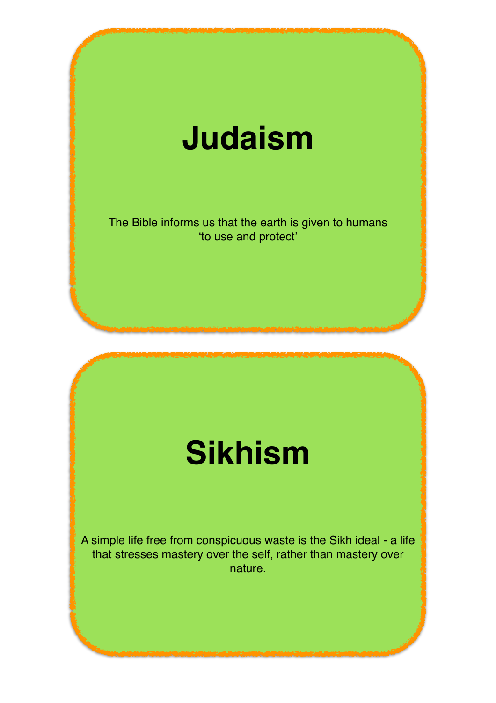#### **Judaism**

The Bible informs us that the earth is given to humans 'to use and protect'

## **Sikhism**

A simple life free from conspicuous waste is the Sikh ideal - a life that stresses mastery over the self, rather than mastery over nature.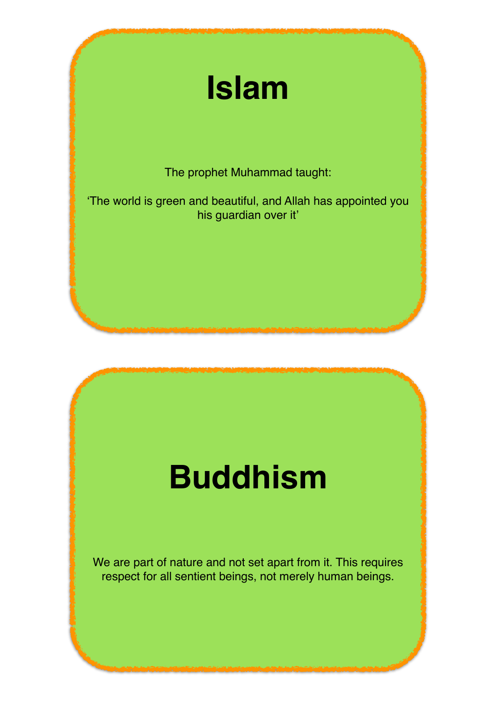# **Islam**

The prophet Muhammad taught:

'The world is green and beautiful, and Allah has appointed you his guardian over it'

## **Buddhism**

We are part of nature and not set apart from it. This requires respect for all sentient beings, not merely human beings.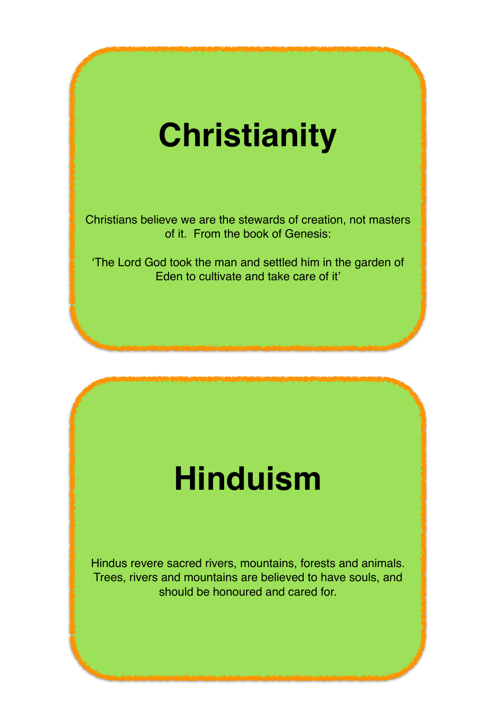## **Christianity**

Christians believe we are the stewards of creation, not masters of it. From the book of Genesis:

'The Lord God took the man and settled him in the garden of Eden to cultivate and take care of it'

#### **Hinduism**

Hindus revere sacred rivers, mountains, forests and animals. Trees, rivers and mountains are believed to have souls, and should be honoured and cared for.